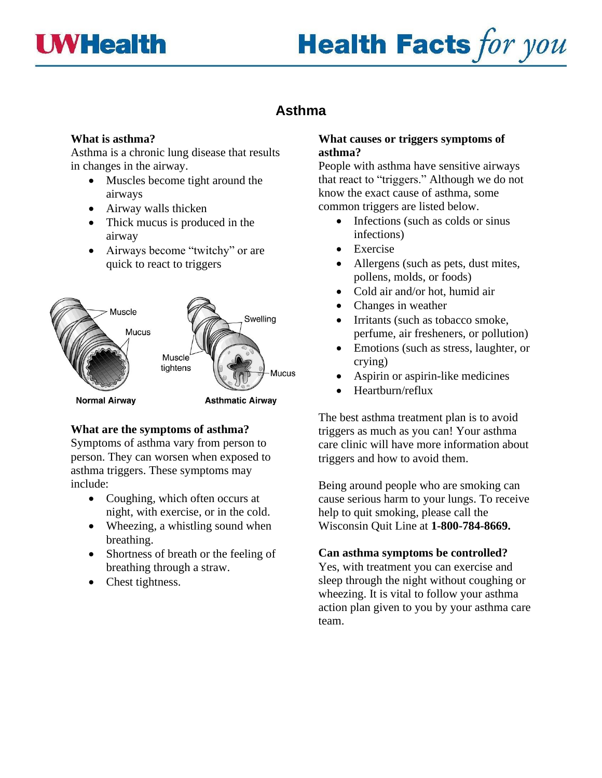



# **Asthma**

#### **What is asthma?**

Asthma is a chronic lung disease that results in changes in the airway.

- Muscles become tight around the airways
- Airway walls thicken
- Thick mucus is produced in the airway
- Airways become "twitchy" or are quick to react to triggers



## **What are the symptoms of asthma?**

Symptoms of asthma vary from person to person. They can worsen when exposed to asthma triggers. These symptoms may include:

- Coughing, which often occurs at night, with exercise, or in the cold.
- Wheezing, a whistling sound when breathing.
- Shortness of breath or the feeling of breathing through a straw.
- Chest tightness.

#### **What causes or triggers symptoms of asthma?**

People with asthma have sensitive airways that react to "triggers." Although we do not know the exact cause of asthma, some common triggers are listed below.

- Infections (such as colds or sinus infections)
- **Exercise**
- Allergens (such as pets, dust mites, pollens, molds, or foods)
- Cold air and/or hot, humid air
- Changes in weather
- Irritants (such as tobacco smoke, perfume, air fresheners, or pollution)
- Emotions (such as stress, laughter, or crying)
- Aspirin or aspirin-like medicines
- Heartburn/reflux

The best asthma treatment plan is to avoid triggers as much as you can! Your asthma care clinic will have more information about triggers and how to avoid them.

Being around people who are smoking can cause serious harm to your lungs. To receive help to quit smoking, please call the Wisconsin Quit Line at **1-800-784-8669.**

## **Can asthma symptoms be controlled?**

Yes, with treatment you can exercise and sleep through the night without coughing or wheezing. It is vital to follow your asthma action plan given to you by your asthma care team.